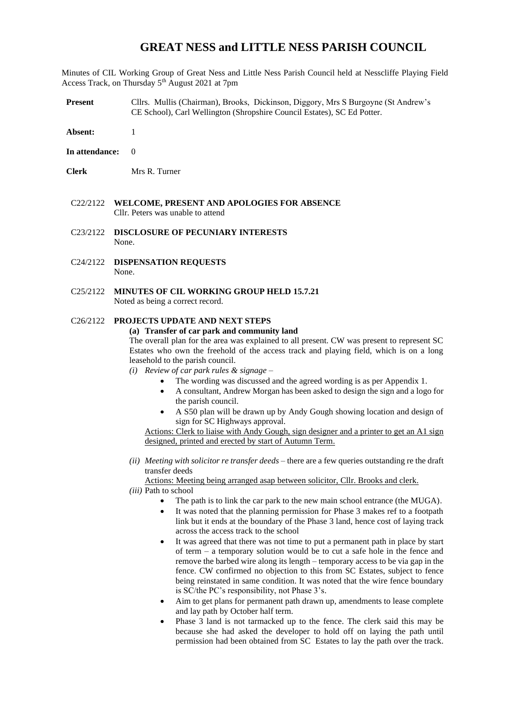## **GREAT NESS and LITTLE NESS PARISH COUNCIL**

Minutes of CIL Working Group of Great Ness and Little Ness Parish Council held at Nesscliffe Playing Field Access Track, on Thursday 5<sup>th</sup> August 2021 at 7pm

- **Present** Cllrs. Mullis (Chairman), Brooks, Dickinson, Diggory, Mrs S Burgoyne (St Andrew's CE School), Carl Wellington (Shropshire Council Estates), SC Ed Potter.
- **Absent:** 1
- **In attendance:** 0
- **Clerk** Mrs R. Turner
- C22/2122 **WELCOME, PRESENT AND APOLOGIES FOR ABSENCE** Cllr. Peters was unable to attend
- C23/2122 **DISCLOSURE OF PECUNIARY INTERESTS** None.
- C24/2122 **DISPENSATION REQUESTS** None.
- C25/2122 **MINUTES OF CIL WORKING GROUP HELD 15.7.21** Noted as being a correct record.

## C26/2122 **PROJECTS UPDATE AND NEXT STEPS**

## **(a) Transfer of car park and community land**

The overall plan for the area was explained to all present. CW was present to represent SC Estates who own the freehold of the access track and playing field, which is on a long leasehold to the parish council.

*(i) Review of car park rules & signage* –

- The wording was discussed and the agreed wording is as per Appendix 1.
	- A consultant, Andrew Morgan has been asked to design the sign and a logo for the parish council.
- A S50 plan will be drawn up by Andy Gough showing location and design of sign for SC Highways approval.

Actions: Clerk to liaise with Andy Gough, sign designer and a printer to get an A1 sign designed, printed and erected by start of Autumn Term.

*(ii) Meeting with solicitor re transfer deeds* – there are a few queries outstanding re the draft transfer deeds

Actions: Meeting being arranged asap between solicitor, Cllr. Brooks and clerk.

- *(iii)* Path to school
	- The path is to link the car park to the new main school entrance (the MUGA).
	- It was noted that the planning permission for Phase 3 makes ref to a footpath link but it ends at the boundary of the Phase 3 land, hence cost of laying track across the access track to the school
	- It was agreed that there was not time to put a permanent path in place by start of term – a temporary solution would be to cut a safe hole in the fence and remove the barbed wire along its length – temporary access to be via gap in the fence. CW confirmed no objection to this from SC Estates, subject to fence being reinstated in same condition. It was noted that the wire fence boundary is SC/the PC's responsibility, not Phase 3's.
	- Aim to get plans for permanent path drawn up, amendments to lease complete and lay path by October half term.
	- Phase 3 land is not tarmacked up to the fence. The clerk said this may be because she had asked the developer to hold off on laying the path until permission had been obtained from SC Estates to lay the path over the track.